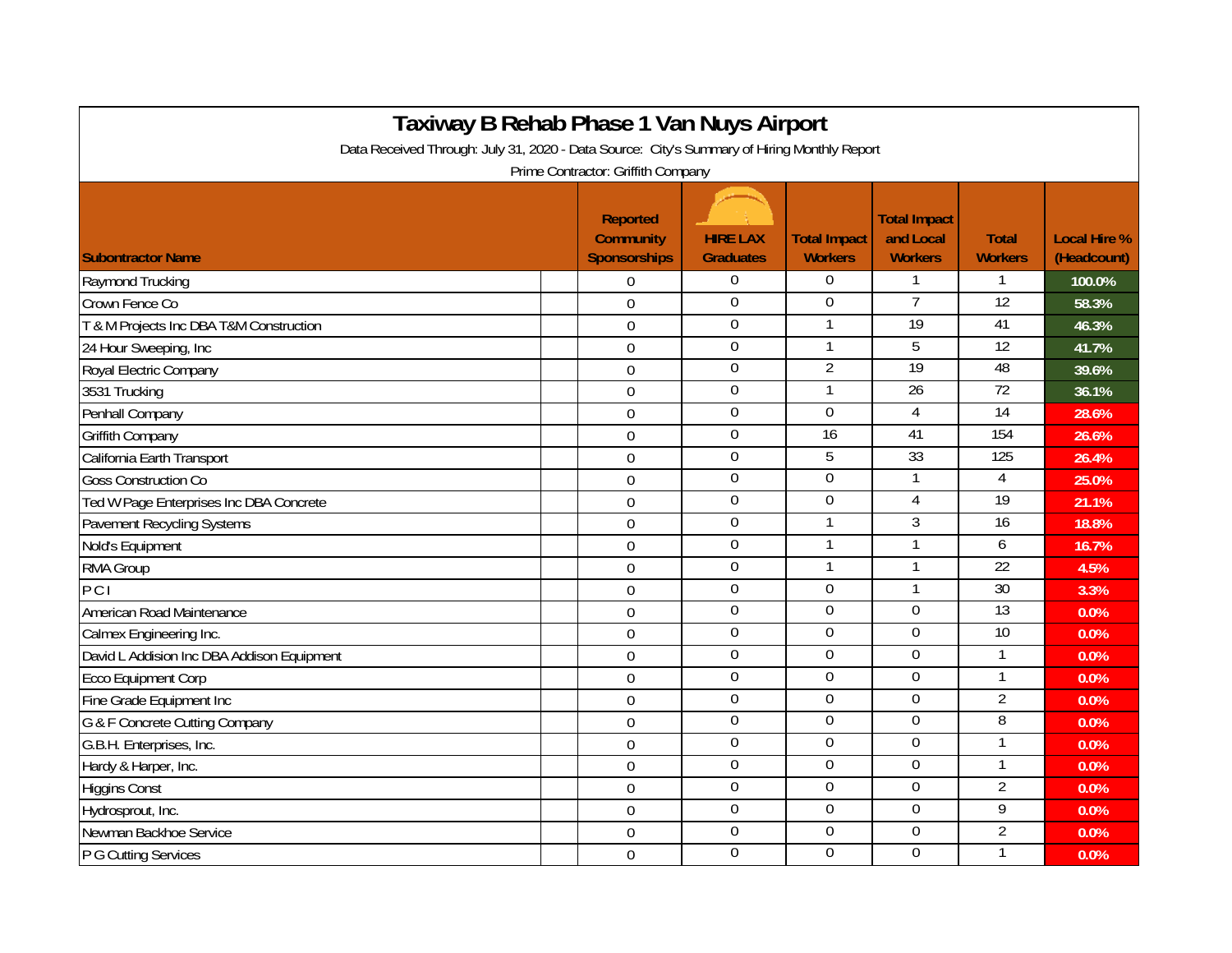| Taxiway B Rehab Phase 1 Van Nuys Airport<br>Data Received Through: July 31, 2020 - Data Source: City's Summary of Hiring Monthly Report |                                                     |                                     |                                       |                                                    |                                |                                    |  |  |  |  |  |
|-----------------------------------------------------------------------------------------------------------------------------------------|-----------------------------------------------------|-------------------------------------|---------------------------------------|----------------------------------------------------|--------------------------------|------------------------------------|--|--|--|--|--|
|                                                                                                                                         |                                                     |                                     |                                       |                                                    |                                |                                    |  |  |  |  |  |
| <b>Subontractor Name</b>                                                                                                                | Reported<br><b>Community</b><br><b>Sponsorships</b> | <b>HIRE LAX</b><br><b>Graduates</b> | <b>Total Impact</b><br><b>Workers</b> | <b>Total Impact</b><br>and Local<br><b>Workers</b> | <b>Total</b><br><b>Workers</b> | <b>Local Hire %</b><br>(Headcount) |  |  |  |  |  |
| Raymond Trucking                                                                                                                        | $\boldsymbol{0}$                                    | $\overline{0}$                      | $\mathbf 0$                           | $\mathbf 1$                                        | 1                              | 100.0%                             |  |  |  |  |  |
| Crown Fence Co                                                                                                                          | $\overline{0}$                                      | $\boldsymbol{0}$                    | $\mathbf 0$                           | $\overline{7}$                                     | 12                             | 58.3%                              |  |  |  |  |  |
| T & M Projects Inc DBA T&M Construction                                                                                                 | $\overline{0}$                                      | $\overline{0}$                      | 1                                     | $\overline{19}$                                    | 41                             | 46.3%                              |  |  |  |  |  |
| 24 Hour Sweeping, Inc                                                                                                                   | $\mathbf 0$                                         | $\boldsymbol{0}$                    |                                       | 5                                                  | 12                             | 41.7%                              |  |  |  |  |  |
| Royal Electric Company                                                                                                                  | $\overline{0}$                                      | $\mathbf 0$                         | $\overline{2}$                        | 19                                                 | 48                             | 39.6%                              |  |  |  |  |  |
| 3531 Trucking                                                                                                                           | $\Omega$                                            | $\boldsymbol{0}$                    |                                       | $\overline{26}$                                    | 72                             | 36.1%                              |  |  |  |  |  |
| Penhall Company                                                                                                                         | $\mathbf 0$                                         | $\mathbf 0$                         | $\mathbf 0$                           | 4                                                  | $\overline{14}$                | 28.6%                              |  |  |  |  |  |
| <b>Griffith Company</b>                                                                                                                 | $\overline{0}$                                      | $\boldsymbol{0}$                    | 16                                    | 41                                                 | 154                            | 26.6%                              |  |  |  |  |  |
| California Earth Transport                                                                                                              | $\mathbf 0$                                         | $\boldsymbol{0}$                    | 5                                     | 33                                                 | 125                            | 26.4%                              |  |  |  |  |  |
| <b>Goss Construction Co</b>                                                                                                             | $\mathbf 0$                                         | $\overline{0}$                      | $\Omega$                              | $\mathbf{1}$                                       | $\overline{4}$                 | 25.0%                              |  |  |  |  |  |
| Ted W Page Enterprises Inc DBA Concrete                                                                                                 | $\overline{0}$                                      | $\mathbf{0}$                        | $\overline{0}$                        | 4                                                  | 19                             | 21.1%                              |  |  |  |  |  |
| <b>Pavement Recycling Systems</b>                                                                                                       | $\mathbf 0$                                         | $\boldsymbol{0}$                    |                                       | 3                                                  | $\overline{16}$                | 18.8%                              |  |  |  |  |  |
| Nold's Equipment                                                                                                                        | $\mathbf 0$                                         | $\boldsymbol{0}$                    |                                       | 1                                                  | 6                              | 16.7%                              |  |  |  |  |  |
| RMA Group                                                                                                                               | $\overline{0}$                                      | $\boldsymbol{0}$                    |                                       | 1                                                  | $\overline{22}$                | 4.5%                               |  |  |  |  |  |
| PCI                                                                                                                                     | $\overline{0}$                                      | $\boldsymbol{0}$                    | $\Omega$                              | 1                                                  | 30                             | 3.3%                               |  |  |  |  |  |
| American Road Maintenance                                                                                                               | $\mathbf 0$                                         | $\boldsymbol{0}$                    | $\overline{0}$                        | $\overline{0}$                                     | 13                             | 0.0%                               |  |  |  |  |  |
| Calmex Engineering Inc.                                                                                                                 | $\overline{0}$                                      | $\overline{0}$                      | $\overline{0}$                        | 0                                                  | 10                             | 0.0%                               |  |  |  |  |  |
| David L Addision Inc DBA Addison Equipment                                                                                              | $\Omega$                                            | $\mathbf 0$                         | $\overline{0}$                        | 0                                                  | 1                              | 0.0%                               |  |  |  |  |  |
| <b>Ecco Equipment Corp</b>                                                                                                              | $\overline{0}$                                      | $\overline{0}$                      | $\mathbf 0$                           | 0                                                  | 1                              | 0.0%                               |  |  |  |  |  |
| Fine Grade Equipment Inc                                                                                                                | $\mathbf 0$                                         | $\overline{0}$                      | $\overline{0}$                        | 0                                                  | $\overline{2}$                 | 0.0%                               |  |  |  |  |  |
| G & F Concrete Cutting Company                                                                                                          | $\overline{0}$                                      | $\overline{0}$                      | $\Omega$                              | $\Omega$                                           | 8                              | 0.0%                               |  |  |  |  |  |
| G.B.H. Enterprises, Inc.                                                                                                                | $\mathbf 0$                                         | $\boldsymbol{0}$                    | $\Omega$                              | $\overline{0}$                                     | 1                              | 0.0%                               |  |  |  |  |  |
| Hardy & Harper, Inc.                                                                                                                    | $\overline{0}$                                      | $\overline{0}$                      | $\mathbf 0$                           | 0                                                  | 1                              | 0.0%                               |  |  |  |  |  |
| <b>Higgins Const</b>                                                                                                                    | $\overline{0}$                                      | $\boldsymbol{0}$                    | $\Omega$                              | 0                                                  | $\overline{2}$                 | 0.0%                               |  |  |  |  |  |
| Hydrosprout, Inc.                                                                                                                       | $\mathbf 0$                                         | $\boldsymbol{0}$                    | $\boldsymbol{0}$                      | $\overline{0}$                                     | 9                              | 0.0%                               |  |  |  |  |  |
| Newman Backhoe Service                                                                                                                  | $\overline{0}$                                      | $\boldsymbol{0}$                    | $\mathbf 0$                           | 0                                                  | $\overline{2}$                 | 0.0%                               |  |  |  |  |  |
| P G Cutting Services                                                                                                                    | $\Omega$                                            | $\overline{0}$                      | $\Omega$                              | $\overline{0}$                                     | $\mathbf{1}$                   | 0.0%                               |  |  |  |  |  |